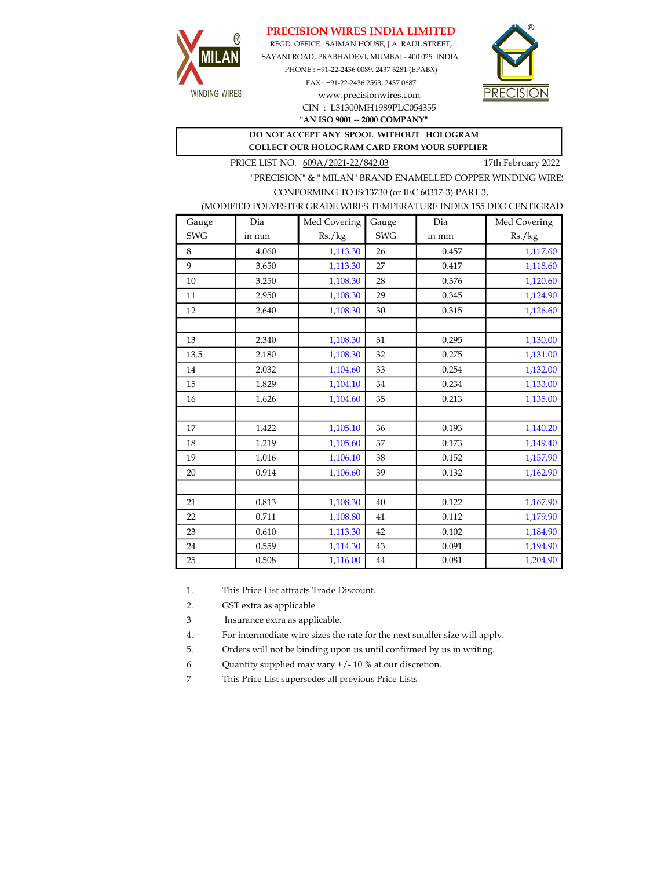# PRECISION WIRES INDIA LIMITED



REGD. OFFICE : SAIMAN HOUSE, J.A. RAUL STREET, SAYANI ROAD, PRABHADEVI, MUMBAI - 400 025. INDIA. PHONE : +91-22-2436 0089, 2437 6281 (EPABX)

> FAX : +91-22-2436 2593, 2437 0687 www.precisionwires.com CIN : L31300MH1989PLC054355



"AN ISO 9001 -- 2000 COMPANY"

#### DO NOT ACCEPT ANY SPOOL WITHOUT HOLOGRAM COLLECT OUR HOLOGRAM CARD FROM YOUR SUPPLIER

PRICE LIST NO. 609A/2021-22/842.03 17th February 2022

"PRECISION" & " MILAN" BRAND ENAMELLED COPPER WINDING WIRE CONFORMING TO IS:13730 (or IEC 60317-3) PART 3,

#### (MODIFIED POLYESTER GRADE WIRES TEMPERATURE INDEX 155 DEG CENTIGRAD

| Gauge      | Dia   | Med Covering | Gauge      | Dia   | Med Covering |
|------------|-------|--------------|------------|-------|--------------|
| <b>SWG</b> | in mm | Rs./kg       | <b>SWG</b> | in mm | Rs./kg       |
| 8          | 4.060 | 1,113.30     | 26         | 0.457 | 1,117.60     |
| 9          | 3.650 | 1,113.30     | 27         | 0.417 | 1,118.60     |
| 10         | 3.250 | 1,108.30     | 28         | 0.376 | 1,120.60     |
| 11         | 2.950 | 1,108.30     | 29         | 0.345 | 1,124.90     |
| 12         | 2.640 | 1,108.30     | 30         | 0.315 | 1,126.60     |
|            |       |              |            |       |              |
| 13         | 2.340 | 1,108.30     | 31         | 0.295 | 1,130.00     |
| 13.5       | 2.180 | 1,108.30     | 32         | 0.275 | 1,131.00     |
| 14         | 2.032 | 1,104.60     | 33         | 0.254 | 1,132.00     |
| 15         | 1.829 | 1,104.10     | 34         | 0.234 | 1,133.00     |
| 16         | 1.626 | 1,104.60     | 35         | 0.213 | 1,135.00     |
|            |       |              |            |       |              |
| 17         | 1.422 | 1,105.10     | 36         | 0.193 | 1,140.20     |
| 18         | 1.219 | 1,105.60     | 37         | 0.173 | 1,149.40     |
| 19         | 1.016 | 1,106.10     | 38         | 0.152 | 1,157.90     |
| 20         | 0.914 | 1,106.60     | 39         | 0.132 | 1,162.90     |
|            |       |              |            |       |              |
| 21         | 0.813 | 1,108.30     | 40         | 0.122 | 1,167.90     |
| 22         | 0.711 | 1,108.80     | 41         | 0.112 | 1,179.90     |
| 23         | 0.610 | 1,113.30     | 42         | 0.102 | 1,184.90     |
| 24         | 0.559 | 1,114.30     | 43         | 0.091 | 1,194.90     |
| 25         | 0.508 | 1,116.00     | 44         | 0.081 | 1,204.90     |

1. This Price List attracts Trade Discount.

2. GST extra as applicable

3 Insurance extra as applicable.

4. For intermediate wire sizes the rate for the next smaller size will apply.

5. Orders will not be binding upon us until confirmed by us in writing.

6 Quantity supplied may vary +/- 10 % at our discretion.

7 This Price List supersedes all previous Price Lists